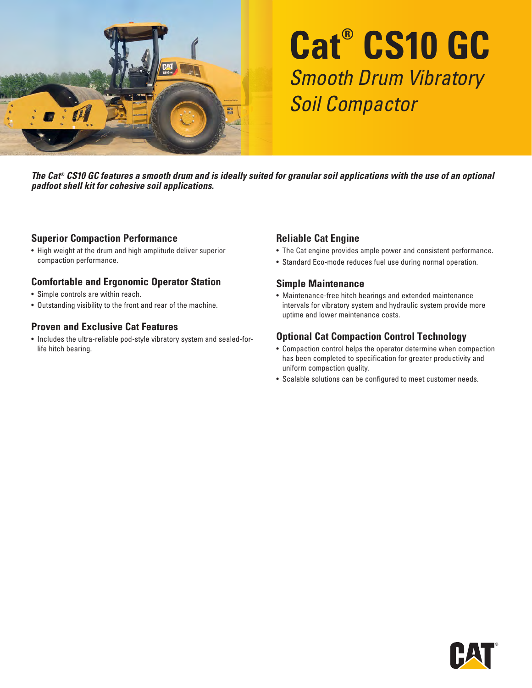

# **Cat® CS10 GC** Smooth Drum Vibratory Soil Compactor

*The Cat® CS10 GC features a smooth drum and is ideally suited for granular soil applications with the use of an optional padfoot shell kit for cohesive soil applications.*

#### **Superior Compaction Performance**

• High weight at the drum and high amplitude deliver superior compaction performance.

#### **Comfortable and Ergonomic Operator Station**

- Simple controls are within reach.
- Outstanding visibility to the front and rear of the machine.

#### **Proven and Exclusive Cat Features**

• Includes the ultra-reliable pod-style vibratory system and sealed-forlife hitch bearing.

#### **Reliable Cat Engine**

- The Cat engine provides ample power and consistent performance.
- Standard Eco-mode reduces fuel use during normal operation.

#### **Simple Maintenance**

• Maintenance-free hitch bearings and extended maintenance intervals for vibratory system and hydraulic system provide more uptime and lower maintenance costs.

#### **Optional Cat Compaction Control Technology**

- Compaction control helps the operator determine when compaction has been completed to specification for greater productivity and uniform compaction quality.
- Scalable solutions can be configured to meet customer needs.

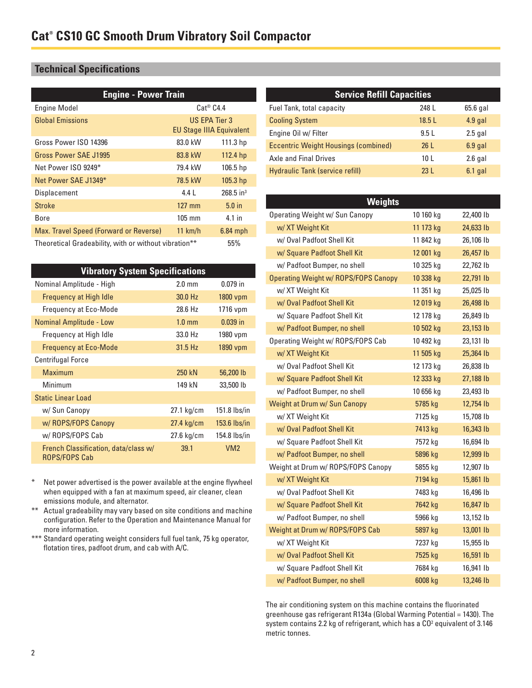### **Technical Specifications**

| <b>Engine - Power Train</b>                           |                                                  |                         |
|-------------------------------------------------------|--------------------------------------------------|-------------------------|
| <b>Engine Model</b>                                   | $Cat^@$ $C4.4$                                   |                         |
| <b>Global Emissions</b>                               | US EPA Tier 3<br><b>EU Stage IIIA Equivalent</b> |                         |
| Gross Power ISO 14396                                 | 83.0 kW                                          | 111.3 hp                |
| Gross Power SAE J1995                                 | 83.8 kW                                          | 112.4 hp                |
| Net Power ISO 9249*                                   | 79.4 kW                                          | 106.5 <sub>hp</sub>     |
| Net Power SAE J1349*                                  | 78.5 kW                                          | 105.3 <sub>hp</sub>     |
| Displacement                                          | 4.4 L                                            | $268.5$ in <sup>3</sup> |
| <b>Stroke</b>                                         | $127$ mm                                         | $5.0$ in                |
| Bore                                                  | $105 \text{ mm}$                                 | 4.1 in                  |
| Max. Travel Speed (Forward or Reverse)                | 11 km/h                                          | $6.84$ mph              |
| Theoretical Gradeability, with or without vibration** |                                                  | 55%                     |

| <b>Vibratory System Specifications</b>                       |                  |                 |  |
|--------------------------------------------------------------|------------------|-----------------|--|
| Nominal Amplitude - High                                     | $2.0 \text{ mm}$ | $0.079$ in      |  |
| Frequency at High Idle                                       | 30.0 Hz          | 1800 vpm        |  |
| Frequency at Eco-Mode                                        | 28.6 Hz          | 1716 vpm        |  |
| <b>Nominal Amplitude - Low</b>                               | $1.0 \text{ mm}$ | $0.039$ in      |  |
| Frequency at High Idle                                       | 33.0 Hz          | 1980 vpm        |  |
| <b>Frequency at Eco-Mode</b>                                 | 31.5 Hz          | 1890 vpm        |  |
| <b>Centrifugal Force</b>                                     |                  |                 |  |
| <b>Maximum</b>                                               | 250 kN           | 56,200 lb       |  |
| Minimum                                                      | 149 kN           | 33,500 lb       |  |
| <b>Static Linear Load</b>                                    |                  |                 |  |
| w/ Sun Canopy                                                | 27.1 kg/cm       | $151.8$ lbs/in  |  |
| w/ ROPS/FOPS Canopy                                          | $27.4$ kg/cm     | $153.6$ lbs/in  |  |
| w/ ROPS/FOPS Cab                                             | 27.6 kg/cm       | 154.8 lbs/in    |  |
| French Classification, data/class w/<br><b>ROPS/FOPS Cab</b> | 39.1             | VM <sub>2</sub> |  |

- \* Net power advertised is the power available at the engine flywheel when equipped with a fan at maximum speed, air cleaner, clean emissions module, and alternator.
- \*\* Actual gradeability may vary based on site conditions and machine configuration. Refer to the Operation and Maintenance Manual for more information.
- \*\*\* Standard operating weight considers full fuel tank, 75 kg operator, flotation tires, padfoot drum, and cab with A/C.

| <b>Service Refill Capacities</b>            |                 |            |  |
|---------------------------------------------|-----------------|------------|--|
| Fuel Tank, total capacity                   | 248 L           | $65.6$ gal |  |
| <b>Cooling System</b>                       | 18.5L           | $4.9$ gal  |  |
| Engine Oil w/ Filter                        | 9.5L            | $2.5$ gal  |  |
| <b>Eccentric Weight Housings (combined)</b> | 261             | $6.9$ gal  |  |
| Axle and Final Drives                       | 10 <sub>L</sub> | $2.6$ gal  |  |
| Hydraulic Tank (service refill)             | 231             | $6.1$ gal  |  |

| <b>Weights</b>                              |           |           |
|---------------------------------------------|-----------|-----------|
| Operating Weight w/ Sun Canopy              | 10 160 kg | 22,400 lb |
| w/ XT Weight Kit                            | 11 173 kg | 24,633 lb |
| w/ Oval Padfoot Shell Kit                   | 11 842 kg | 26,106 lb |
| w/ Square Padfoot Shell Kit                 | 12 001 kg | 26,457 lb |
| w/ Padfoot Bumper, no shell                 | 10 325 kg | 22,762 lb |
| <b>Operating Weight w/ ROPS/FOPS Canopy</b> | 10 338 kg | 22,791 lb |
| w/ XT Weight Kit                            | 11 351 kg | 25,025 lb |
| w/ Oval Padfoot Shell Kit                   | 12 019 kg | 26,498 lb |
| w/ Square Padfoot Shell Kit                 | 12 178 kg | 26,849 lb |
| w/ Padfoot Bumper, no shell                 | 10 502 kg | 23,153 lb |
| Operating Weight w/ ROPS/FOPS Cab           | 10 492 kg | 23,131 lb |
| w/ XT Weight Kit                            | 11 505 kg | 25,364 lb |
| w/ Oval Padfoot Shell Kit                   | 12 173 kg | 26,838 lb |
| w/ Square Padfoot Shell Kit                 | 12 333 kg | 27,188 lb |
| w/ Padfoot Bumper, no shell                 | 10 656 kg | 23,493 lb |
| Weight at Drum w/ Sun Canopy                | 5785 kg   | 12,754 lb |
| w/ XT Weight Kit                            | 7125 kg   | 15,708 lb |
| w/ Oval Padfoot Shell Kit                   | 7413 kg   | 16,343 lb |
| w/ Square Padfoot Shell Kit                 | 7572 kg   | 16,694 lb |
| w/ Padfoot Bumper, no shell                 | 5896 kg   | 12,999 lb |
| Weight at Drum w/ ROPS/FOPS Canopy          | 5855 kg   | 12,907 lb |
| w/ XT Weight Kit                            | 7194 kg   | 15,861 lb |
| w/ Oval Padfoot Shell Kit                   | 7483 kg   | 16,496 lb |
| w/ Square Padfoot Shell Kit                 | 7642 kg   | 16,847 lb |
| w/ Padfoot Bumper, no shell                 | 5966 kg   | 13,152 lb |
| Weight at Drum w/ ROPS/FOPS Cab             | 5897 kg   | 13,001 lb |
| w/ XT Weight Kit                            | 7237 kg   | 15,955 lb |
| w/ Oval Padfoot Shell Kit                   | 7525 kg   | 16,591 lb |
| w/ Square Padfoot Shell Kit                 | 7684 kg   | 16,941 lb |
| w/ Padfoot Bumper, no shell                 | 6008 kg   | 13,246 lb |

The air conditioning system on this machine contains the fluorinated greenhouse gas refrigerant R134a (Global Warming Potential = 1430). The system contains 2.2 kg of refrigerant, which has a CO<sup>2</sup> equivalent of 3.146 metric tonnes.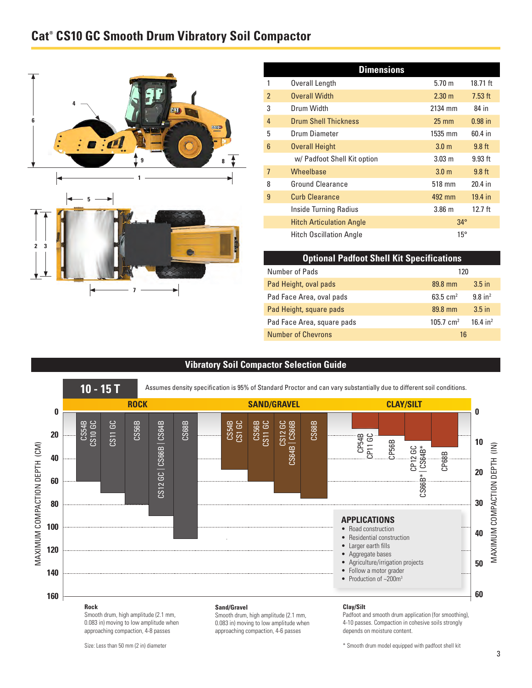## **Cat® CS10 GC Smooth Drum Vibratory Soil Compactor**





| <b>Dimensions</b> |                                 |                   |           |
|-------------------|---------------------------------|-------------------|-----------|
|                   | Overall Length                  | 5.70 m            | 18.71 ft  |
| $\overline{2}$    | <b>Overall Width</b>            | $2.30 \text{ m}$  | $7.53$ ft |
| 3                 | Drum Width                      | 2134 mm           | 84 in     |
| $\overline{4}$    | <b>Drum Shell Thickness</b>     | $25 \text{ mm}$   | $0.98$ in |
| 5                 | Drum Diameter                   | 1535 mm           | $60.4$ in |
| 6                 | <b>Overall Height</b>           | 3.0 <sub>m</sub>  | $9.8$ ft  |
|                   | w/ Padfoot Shell Kit option     | 3.03 <sub>m</sub> | $9.93$ ft |
| $\overline{7}$    | Wheelbase                       | 3.0 <sub>m</sub>  | $9.8$ ft  |
| 8                 | <b>Ground Clearance</b>         | 518 mm            | 20.4 in   |
| 9                 | <b>Curb Clearance</b>           | 492 mm            | 19.4 in   |
|                   | <b>Inside Turning Radius</b>    | 3.86 <sub>m</sub> | $12.7$ ft |
|                   | <b>Hitch Articulation Angle</b> | $34^\circ$        |           |
|                   | <b>Hitch Oscillation Angle</b>  | $15^{\circ}$      |           |

| <b>Optional Padfoot Shell Kit Specifications</b> |                      |                        |
|--------------------------------------------------|----------------------|------------------------|
| Number of Pads                                   | 120                  |                        |
| Pad Height, oval pads                            | 89.8 mm              | $3.5$ in               |
| Pad Face Area, oval pads                         | 63.5 $cm2$           | $9.8$ in <sup>2</sup>  |
| Pad Height, square pads                          | 89.8 mm              | $3.5$ in               |
| Pad Face Area, square pads                       | $105.7 \text{ cm}^2$ | $16.4$ in <sup>2</sup> |
| <b>Number of Chevrons</b>                        | 16                   |                        |

#### **Vibratory Soil Compactor Selection Guide**



Smooth drum, high amplitude (2.1 mm, 0.083 in) moving to low amplitude when approaching compaction, 4-8 passes

Smooth drum, high amplitude (2.1 mm, 0.083 in) moving to low amplitude when approaching compaction, 4-6 passes

Padfoot and smooth drum application (for smoothing), 4-10 passes. Compaction in cohesive soils strongly depends on moisture content.

\* Smooth drum model equipped with padfoot shell kit